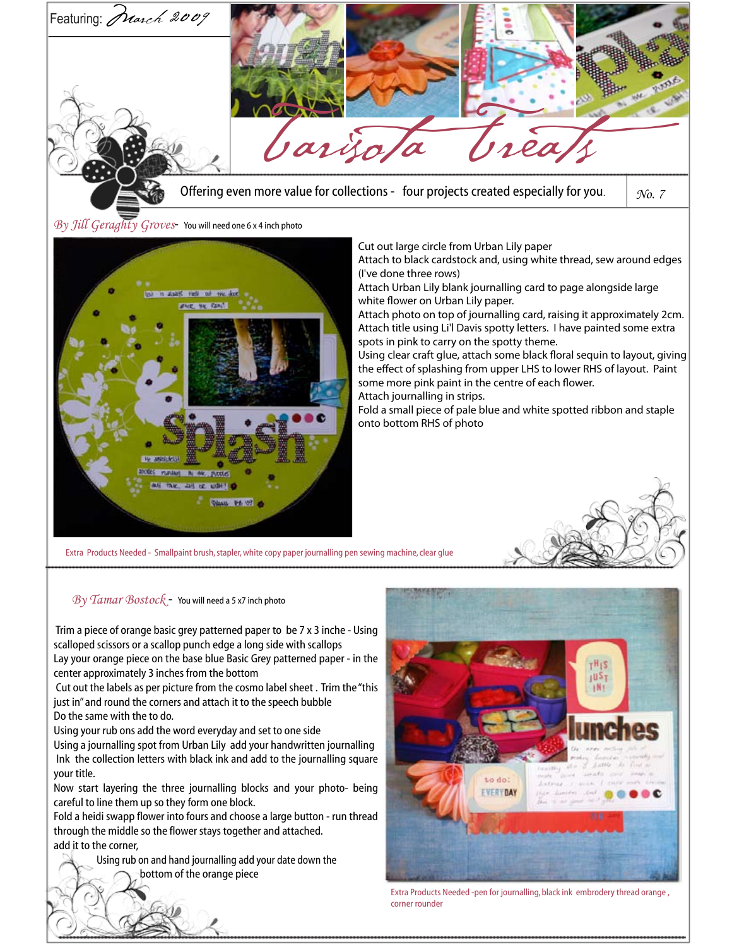

Attach journalling in strips.

Fold a small piece of pale blue and white spotted ribbon and staple onto bottom RHS of photo

Extra Products Needed - Smallpaint brush, stapler, white copy paper journalling pen sewing machine, clear glue

**PA 107** 

*By Tamar Bostock* - You will need a 5 x7 inch photo

 Trim a piece of orange basic grey patterned paper to be 7 x 3 inche - Using scalloped scissors or a scallop punch edge a long side with scallops Lay your orange piece on the base blue Basic Grey patterned paper - in the

center approximately 3 inches from the bottom Cut out the labels as per picture from the cosmo label sheet . Trim the "this

just in" and round the corners and attach it to the speech bubble Do the same with the to do.

Using your rub ons add the word everyday and set to one side

Using a journalling spot from Urban Lily add your handwritten journalling Ink the collection letters with black ink and add to the journalling square your title.

Now start layering the three journalling blocks and your photo- being careful to line them up so they form one block.

Fold a heidi swapp flower into fours and choose a large button - run thread through the middle so the flower stays together and attached. add it to the corner,

> Using rub on and hand journalling add your date down the bottom of the orange piece



Extra Products Needed -pen for journalling, black ink embrodery thread orange , corner rounder